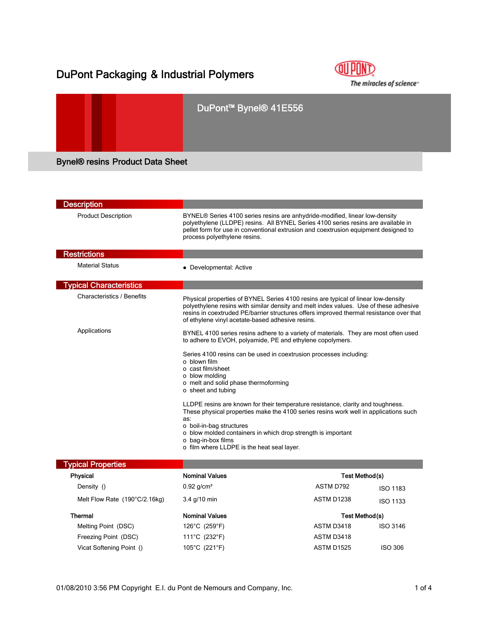## DuPont Packaging & Industrial Polymers



# DuPont™ Bynel® 41E556 Bynel® resins Product Data Sheet

| <b>Description</b>                |                                                                                                                                                                                                                                                                                                                                                                           |                             |                 |  |
|-----------------------------------|---------------------------------------------------------------------------------------------------------------------------------------------------------------------------------------------------------------------------------------------------------------------------------------------------------------------------------------------------------------------------|-----------------------------|-----------------|--|
| <b>Product Description</b>        | BYNEL® Series 4100 series resins are anhydride-modified, linear low-density<br>polyethylene (LLDPE) resins. All BYNEL Series 4100 series resins are available in<br>pellet form for use in conventional extrusion and coextrusion equipment designed to<br>process polyethylene resins.                                                                                   |                             |                 |  |
| <b>Restrictions</b>               |                                                                                                                                                                                                                                                                                                                                                                           |                             |                 |  |
| <b>Material Status</b>            | • Developmental: Active                                                                                                                                                                                                                                                                                                                                                   |                             |                 |  |
| <b>Typical Characteristics</b>    |                                                                                                                                                                                                                                                                                                                                                                           |                             |                 |  |
| <b>Characteristics / Benefits</b> | Physical properties of BYNEL Series 4100 resins are typical of linear low-density<br>polyethylene resins with similar density and melt index values. Use of these adhesive<br>resins in coextruded PE/barrier structures offers improved thermal resistance over that<br>of ethylene vinyl acetate-based adhesive resins.                                                 |                             |                 |  |
| Applications                      | BYNEL 4100 series resins adhere to a variety of materials. They are most often used<br>to adhere to EVOH, polyamide, PE and ethylene copolymers.                                                                                                                                                                                                                          |                             |                 |  |
|                                   | Series 4100 resins can be used in coextrusion processes including:<br>o blown film<br>o cast film/sheet<br>o blow molding<br>o melt and solid phase thermoforming<br>o sheet and tubing<br>LLDPE resins are known for their temperature resistance, clarity and toughness.<br>These physical properties make the 4100 series resins work well in applications such<br>as: |                             |                 |  |
|                                   | o boil-in-bag structures<br>o blow molded containers in which drop strength is important<br>o bag-in-box films<br>o film where LLDPE is the heat seal layer.                                                                                                                                                                                                              |                             |                 |  |
| <b>Typical Properties</b>         |                                                                                                                                                                                                                                                                                                                                                                           |                             |                 |  |
| <b>Physical</b><br>Density ()     | <b>Nominal Values</b><br>$0.92$ g/cm <sup>3</sup>                                                                                                                                                                                                                                                                                                                         | Test Method(s)<br>ASTM D792 |                 |  |
|                                   |                                                                                                                                                                                                                                                                                                                                                                           |                             | <b>ISO 1183</b> |  |
| Melt Flow Rate (190°C/2.16kg)     | 3.4 g/10 min                                                                                                                                                                                                                                                                                                                                                              | ASTM D1238                  | <b>ISO 1133</b> |  |
| Thermal                           | <b>Nominal Values</b>                                                                                                                                                                                                                                                                                                                                                     |                             | Test Method(s)  |  |
| Melting Point (DSC)               | 126°C (259°F)                                                                                                                                                                                                                                                                                                                                                             | ASTM D3418                  | <b>ISO 3146</b> |  |
| Freezing Point (DSC)              | 111°C (232°F)                                                                                                                                                                                                                                                                                                                                                             | ASTM D3418                  |                 |  |
| Vicat Softening Point ()          | 105°C (221°F)                                                                                                                                                                                                                                                                                                                                                             | <b>ASTM D1525</b>           | <b>ISO 306</b>  |  |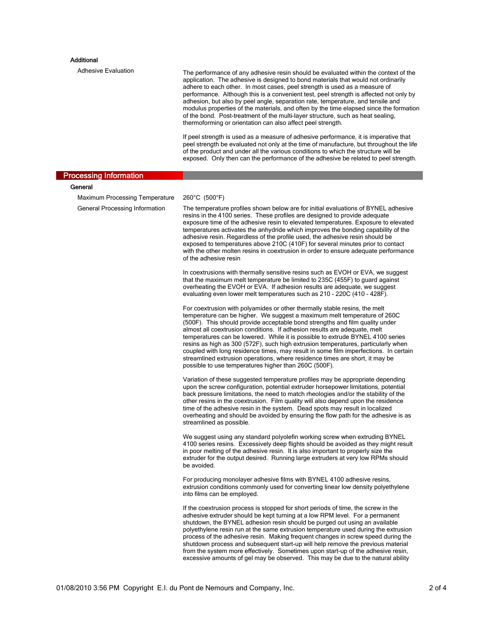### **Additional**

Adhesive Evaluation The performance of any adhesive resin should be evaluated within the context of the application. The adhesive is designed to bond materials that would not ordinarily adhere to each other. In most cases, peel strength is used as a measure of performance. Although this is a convenient test, peel strength is affected not only by adhesion, but also by peel angle, separation rate, temperature, and tensile and modulus properties of the materials, and often by the time elapsed since the formation modulus properties of the materials, and often by the time elapsed since the formation of the bond. Post-treatment of the multi-layer structure, such as heat sealing, thermoforming or orientation can also affect peel strength.

> If peel strength is used as a measure of adhesive performance, it is imperative that peel strength be evaluated not only at the time of manufacture, but throughout the life of the product and under all the various conditions to which the structure will be exposed. Only then can the performance of the adhesive be related to peel strength.

|                                       | exposed. Only then can the performance of the adhesive be related to peel strength.                                                                                                                                                                                                                                                                                                                                                                                                                                                                                                                                                                                                                                         |  |
|---------------------------------------|-----------------------------------------------------------------------------------------------------------------------------------------------------------------------------------------------------------------------------------------------------------------------------------------------------------------------------------------------------------------------------------------------------------------------------------------------------------------------------------------------------------------------------------------------------------------------------------------------------------------------------------------------------------------------------------------------------------------------------|--|
| <b>Processing Information</b>         |                                                                                                                                                                                                                                                                                                                                                                                                                                                                                                                                                                                                                                                                                                                             |  |
| General                               |                                                                                                                                                                                                                                                                                                                                                                                                                                                                                                                                                                                                                                                                                                                             |  |
| <b>Maximum Processing Temperature</b> | 260°C (500°F)                                                                                                                                                                                                                                                                                                                                                                                                                                                                                                                                                                                                                                                                                                               |  |
| General Processing Information        | The temperature profiles shown below are for initial evaluations of BYNEL adhesive<br>resins in the 4100 series. These profiles are designed to provide adequate<br>exposure time of the adhesive resin to elevated temperatures. Exposure to elevated<br>temperatures activates the anhydride which improves the bonding capability of the<br>adhesive resin. Regardless of the profile used, the adhesive resin should be<br>exposed to temperatures above 210C (410F) for several minutes prior to contact<br>with the other molten resins in coextrusion in order to ensure adequate performance<br>of the adhesive resin                                                                                               |  |
|                                       | In coextrusions with thermally sensitive resins such as EVOH or EVA, we suggest<br>that the maximum melt temperature be limited to 235C (455F) to guard against<br>overheating the EVOH or EVA. If adhesion results are adequate, we suggest<br>evaluating even lower melt temperatures such as 210 - 220C (410 - 428F).                                                                                                                                                                                                                                                                                                                                                                                                    |  |
|                                       | For coextrusion with polyamides or other thermally stable resins, the melt<br>temperature can be higher. We suggest a maximum melt temperature of 260C<br>(500F). This should provide acceptable bond strengths and film quality under<br>almost all coextrusion conditions. If adhesion results are adequate, melt<br>temperatures can be lowered. While it is possible to extrude BYNEL 4100 series<br>resins as high as 300 (572F), such high extrusion temperatures, particularly when<br>coupled with long residence times, may result in some film imperfections. In certain<br>streamlined extrusion operations, where residence times are short, it may be<br>possible to use temperatures higher than 260C (500F). |  |
|                                       | Variation of these suggested temperature profiles may be appropriate depending<br>upon the screw configuration, potential extruder horsepower limitations, potential<br>back pressure limitations, the need to match rheologies and/or the stability of the<br>other resins in the coextrusion. Film quality will also depend upon the residence<br>time of the adhesive resin in the system. Dead spots may result in localized<br>overheating and should be avoided by ensuring the flow path for the adhesive is as<br>streamlined as possible.                                                                                                                                                                          |  |
|                                       | We suggest using any standard polyolefin working screw when extruding BYNEL<br>4100 series resins. Excessively deep flights should be avoided as they might result<br>in poor melting of the adhesive resin. It is also important to properly size the<br>extruder for the output desired. Running large extruders at very low RPMs should<br>be avoided.                                                                                                                                                                                                                                                                                                                                                                   |  |
|                                       | For producing monolayer adhesive films with BYNEL 4100 adhesive resins,<br>extrusion conditions commonly used for converting linear low density polyethylene<br>into films can be employed.                                                                                                                                                                                                                                                                                                                                                                                                                                                                                                                                 |  |
|                                       | If the coextrusion process is stopped for short periods of time, the screw in the<br>adhesive extruder should be kept turning at a low RPM level. For a permanent<br>shutdown, the BYNEL adhesion resin should be purged out using an available<br>polyethylene resin run at the same extrusion temperature used during the extrusion<br>process of the adhesive resin. Making frequent changes in screw speed during the<br>shutdown process and subsequent start-up will help remove the previous material<br>from the system more effectively. Sometimes upon start-up of the adhesive resin,<br>excessive amounts of gel may be observed. This may be due to the natural ability                                        |  |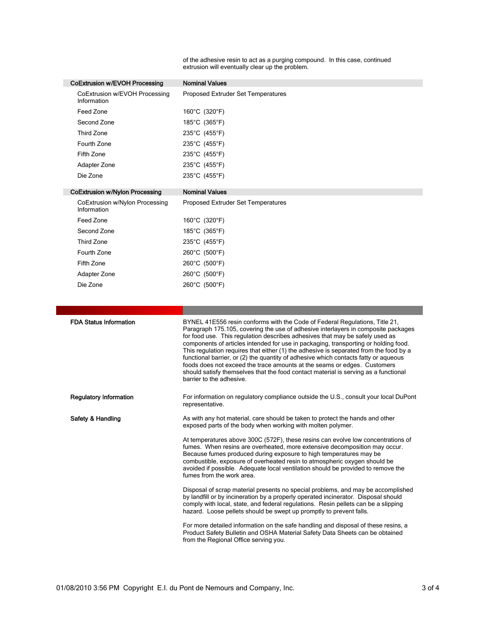of the adhesive resin to act as a purging compound. In this case, continued extrusion will eventually clear up the problem.

| CoExtrusion w/EVOH Processing                 | <b>Nominal Values</b>                                                                                                                                                                                                                                                                                                                                                                                                                                                                                                                                                                                                                   |
|-----------------------------------------------|-----------------------------------------------------------------------------------------------------------------------------------------------------------------------------------------------------------------------------------------------------------------------------------------------------------------------------------------------------------------------------------------------------------------------------------------------------------------------------------------------------------------------------------------------------------------------------------------------------------------------------------------|
| CoExtrusion w/EVOH Processing<br>Information  | Proposed Extruder Set Temperatures                                                                                                                                                                                                                                                                                                                                                                                                                                                                                                                                                                                                      |
| Feed Zone                                     | 160°C (320°F)                                                                                                                                                                                                                                                                                                                                                                                                                                                                                                                                                                                                                           |
| Second Zone                                   | 185°C (365°F)                                                                                                                                                                                                                                                                                                                                                                                                                                                                                                                                                                                                                           |
| <b>Third Zone</b>                             | 235°C (455°F)                                                                                                                                                                                                                                                                                                                                                                                                                                                                                                                                                                                                                           |
| Fourth Zone                                   | 235°C (455°F)                                                                                                                                                                                                                                                                                                                                                                                                                                                                                                                                                                                                                           |
| Fifth Zone                                    | 235°C (455°F)                                                                                                                                                                                                                                                                                                                                                                                                                                                                                                                                                                                                                           |
| Adapter Zone                                  | 235°C (455°F)                                                                                                                                                                                                                                                                                                                                                                                                                                                                                                                                                                                                                           |
| Die Zone                                      | 235°C (455°F)                                                                                                                                                                                                                                                                                                                                                                                                                                                                                                                                                                                                                           |
| <b>CoExtrusion w/Nylon Processing</b>         | <b>Nominal Values</b>                                                                                                                                                                                                                                                                                                                                                                                                                                                                                                                                                                                                                   |
| CoExtrusion w/Nylon Processing<br>Information | Proposed Extruder Set Temperatures                                                                                                                                                                                                                                                                                                                                                                                                                                                                                                                                                                                                      |
| Feed Zone                                     | 160°C (320°F)                                                                                                                                                                                                                                                                                                                                                                                                                                                                                                                                                                                                                           |
| Second Zone                                   | 185°C (365°F)                                                                                                                                                                                                                                                                                                                                                                                                                                                                                                                                                                                                                           |
| Third Zone                                    | 235°C (455°F)                                                                                                                                                                                                                                                                                                                                                                                                                                                                                                                                                                                                                           |
| Fourth Zone                                   | 260°C (500°F)                                                                                                                                                                                                                                                                                                                                                                                                                                                                                                                                                                                                                           |
| Fifth Zone                                    | 260°C (500°F)                                                                                                                                                                                                                                                                                                                                                                                                                                                                                                                                                                                                                           |
| Adapter Zone                                  | 260°C (500°F)                                                                                                                                                                                                                                                                                                                                                                                                                                                                                                                                                                                                                           |
| Die Zone                                      | 260°C (500°F)                                                                                                                                                                                                                                                                                                                                                                                                                                                                                                                                                                                                                           |
| <b>FDA Status Information</b>                 | BYNEL 41E556 resin conforms with the Code of Federal Regulations, Title 21,                                                                                                                                                                                                                                                                                                                                                                                                                                                                                                                                                             |
|                                               | Paragraph 175.105, covering the use of adhesive interlayers in composite packages<br>for food use. This regulation describes adhesives that may be safely used as<br>components of articles intended for use in packaging, transporting or holding food.<br>This regulation requires that either (1) the adhesive is separated from the food by a<br>functional barrier, or (2) the quantity of adhesive which contacts fatty or aqueous<br>foods does not exceed the trace amounts at the seams or edges. Customers<br>should satisfy themselves that the food contact material is serving as a functional<br>barrier to the adhesive. |
| <b>Regulatory Information</b>                 | For information on regulatory compliance outside the U.S., consult your local DuPont<br>representative.                                                                                                                                                                                                                                                                                                                                                                                                                                                                                                                                 |
| Safety & Handling                             | As with any hot material, care should be taken to protect the hands and other<br>exposed parts of the body when working with molten polymer.                                                                                                                                                                                                                                                                                                                                                                                                                                                                                            |
|                                               | At temperatures above 300C (572F), these resins can evolve low concentrations of<br>fumes. When resins are overheated, more extensive decomposition may occur.<br>Because fumes produced during exposure to high temperatures may be<br>combustible, exposure of overheated resin to atmospheric oxygen should be<br>avoided if possible. Adequate local ventilation should be provided to remove the<br>fumes from the work area.                                                                                                                                                                                                      |
|                                               | Disposal of scrap material presents no special problems, and may be accomplished<br>by landfill or by incineration by a properly operated incinerator. Disposal should<br>comply with local, state, and federal regulations. Resin pellets can be a slipping<br>hazard. Loose pellets should be swept up promptly to prevent falls.                                                                                                                                                                                                                                                                                                     |
|                                               |                                                                                                                                                                                                                                                                                                                                                                                                                                                                                                                                                                                                                                         |